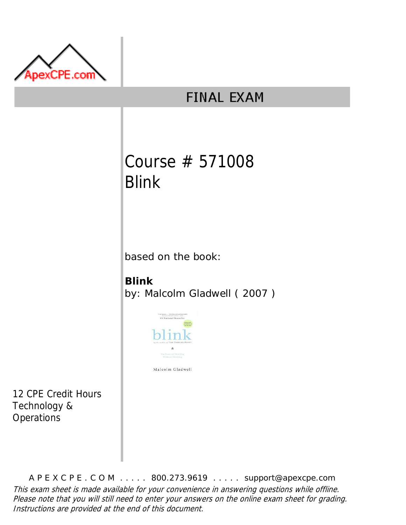

# **FINAL EXAM**

# Course # 571008 Blink

based on the book:

## **Blink**

by: Malcolm Gladwell ( 2007 )



12 CPE Credit Hours Technology &

**Operations** 

A P E X C P E . C O M . . . . . 800.273.9619 . . . . . support@apexcpe.com This exam sheet is made available for your convenience in answering questions while offline. Please note that you will still need to enter your answers on the online exam sheet for grading. Instructions are provided at the end of this document.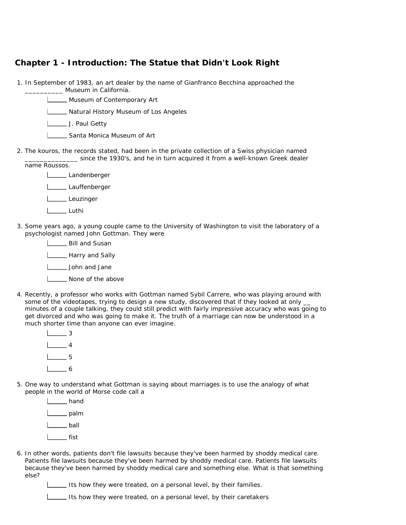### **Chapter 1 - Introduction: The Statue that Didn't Look Right**

1. In September of 1983, an art dealer by the name of Gianfranco Becchina approached the **\_\_\_\_\_** Museum in California.

Museum of Contemporary Art

**L\_\_\_\_\_** Natural History Museum of Los Angeles

**J. Paul Getty** 

Santa Monica Museum of Art

2. The kouros, the records stated, had been in the private collection of a Swiss physician named since the 1930's, and he in turn acquired it from a well-known Greek dealer

name Roussos.

- Landenberger Lauffenberger Leuzinger Luthi
- 3. Some years ago, a young couple came to the University of Washington to visit the laboratory of a psychologist named John Gottman. They were

**L** Bill and Susan **Harry and Sally** John and Jane I \_\_\_\_ None of the above

4. Recently, a professor who works with Gottman named Sybil Carrere, who was playing around with some of the videotapes, trying to design a new study, discovered that if they looked at only \_\_ minutes of a couple talking, they could still predict with fairly impressive accuracy who was going to get divorced and who was going to make it. The truth of a marriage can now be understood in a much shorter time than anyone can ever imagine.

| $\mathcal{L}^{\text{max}}_{\text{max}}$ | 3 |
|-----------------------------------------|---|
| $\sim$ 4                                |   |
| <b>Contract Contract</b>                | 5 |
| $\sim 10^{-1}$                          |   |

- 5. One way to understand what Gottman is saying about marriages is to use the analogy of what people in the world of Morse code call a
	- | hand | palm  $I_{\text{max}}$  ball  $I_{\text{max}}$  fist
- 6. In other words, patients don't file lawsuits because they've been harmed by shoddy medical care. Patients file lawsuits because they've been harmed by shoddy medical care. Patients file lawsuits because they've been harmed by shoddy medical care and something else. What is that something else?

Its how they were treated, on a personal level, by their families.

Its how they were treated, on a personal level, by their caretakers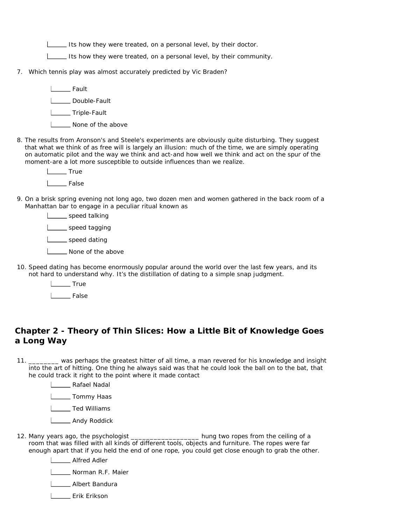Its how they were treated, on a personal level, by their doctor.

Its how they were treated, on a personal level, by their community.

7. Which tennis play was almost accurately predicted by Vic Braden?

**Lack Lines** Fault **L\_\_\_\_\_** Double-Fault **L\_\_\_\_\_**Triple-Fault

- **L\_\_\_ None of the above**
- 8. The results from Aronson's and Steele's experiments are obviously quite disturbing. They suggest that what we think of as free will is largely an illusion: much of the time, we are simply operating on automatic pilot and the way we think and act-and how well we think and act on the spur of the moment-are a lot more susceptible to outside influences than we realize.

L<sub>tum</sub> True **Lack** False

9. On a brisk spring evening not long ago, two dozen men and women gathered in the back room of a Manhattan bar to engage in a peculiar ritual known as

speed talking **L** speed tagging speed dating

- **L\_\_\_ None of the above**
- 10. Speed dating has become enormously popular around the world over the last few years, and its not hard to understand why. It's the distillation of dating to a simple snap judgment.
	- L<sub>tu</sub> True

**Lacker** False

#### **Chapter 2 - Theory of Thin Slices: How a Little Bit of Knowledge Goes a Long Way**

 $11.$ \_\_\_\_\_\_\_\_ was perhaps the greatest hitter of all time, a man revered for his knowledge and insight into the art of hitting. One thing he always said was that he could look the ball on to the bat, that he could track it right to the point where it made contact

**L** Rafael Nadal

**L** Tommy Haas

**L\_\_\_\_\_** Ted Williams

L**L**Andy Roddick

12. Many years ago, the psychologist \_\_\_\_\_\_\_\_\_\_\_\_\_\_\_\_\_\_ hung two ropes from the ceiling of a room that was filled with all kinds of different tools, objects and furniture. The ropes were far enough apart that if you held the end of one rope, you could get close enough to grab the other.

**LETTE** Alfred Adler

**Norman R.F. Maier** 

**LETTE** Albert Bandura

Erik Erikson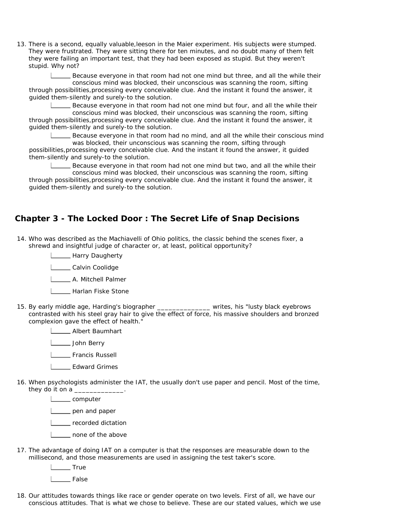13. There is a second, equally valuable,leeson in the Maier experiment. His subjects were stumped. They were frustrated. They were sitting there for ten minutes, and no doubt many of them felt they were failing an important test, that they had been exposed as stupid. But they weren't stupid. Why not?

Because everyone in that room had not one mind but three, and all the while their conscious mind was blocked, their unconscious was scanning the room, sifting through possibilities,processing every conceivable clue. And the instant it found the answer, it guided them-silently and surely-to the solution.

Because everyone in that room had not one mind but four, and all the while their conscious mind was blocked, their unconscious was scanning the room, sifting through possibilities,processing every conceivable clue. And the instant it found the answer, it guided them-silently and surely-to the solution.

Because everyone in that room had no mind, and all the while their conscious mind was blocked, their unconscious was scanning the room, sifting through

possibilities,processing every conceivable clue. And the instant it found the answer, it guided them-silently and surely-to the solution.

Because everyone in that room had not one mind but two, and all the while their conscious mind was blocked, their unconscious was scanning the room, sifting through possibilities,processing every conceivable clue. And the instant it found the answer, it guided them-silently and surely-to the solution.

#### **Chapter 3 - The Locked Door : The Secret Life of Snap Decisions**

14. Who was described as the Machiavelli of Ohio politics, the classic behind the scenes fixer, a shrewd and insightful judge of character or, at least, political opportunity?

**L**\_\_\_\_\_\_\_ Harry Daugherty

**L** Calvin Coolidge

**L\_\_\_\_\_\_\_ A.** Mitchell Palmer

- **L\_\_\_\_ Harlan Fiske Stone**
- 15. By early middle age, Harding's biographer \_\_\_\_\_\_\_\_\_\_\_\_\_\_ writes, his "lusty black eyebrows contrasted with his steel gray hair to give the effect of force, his massive shoulders and bronzed complexion gave the effect of health."

**LETTE** Albert Baumhart

**Letter** John Berry

Francis Russell

- Edward Grimes
- 16. When psychologists administer the IAT, the usually don't use paper and pencil. Most of the time, they do it on a  $\_$

L<sub>computer</sub> pen and paper **LECORDIA** recorded dictation **L** none of the above

17. The advantage of doing IAT on a computer is that the responses are measurable down to the millisecond, and those measurements are used in assigning the test taker's score.

L<sub>tu</sub>True

l False

18. Our attitudes towards things like race or gender operate on two levels. First of all, we have our conscious attitudes. That is what we chose to believe. These are our stated values, which we use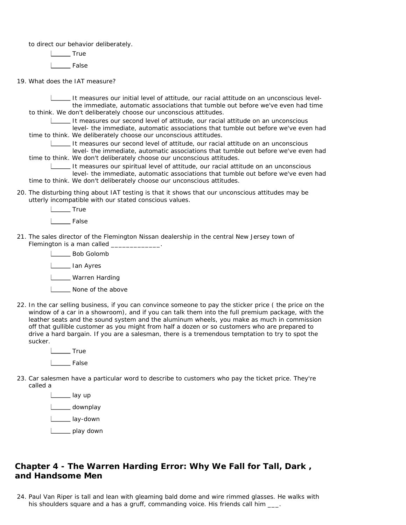to direct our behavior deliberately.

L<sub>tu</sub> True

**Lacker** False

19. What does the IAT measure?

It measures our initial level of attitude, our racial attitude on an unconscious levelthe immediate, automatic associations that tumble out before we've even had time to think. We don't deliberately choose our unconscious attitudes.

It measures our second level of attitude, our racial attitude on an unconscious

level- the immediate, automatic associations that tumble out before we've even had time to think. We deliberately choose our unconscious attitudes.

It measures our second level of attitude, our racial attitude on an unconscious level- the immediate, automatic associations that tumble out before we've even had

time to think. We don't deliberately choose our unconscious attitudes.

It measures our spiritual level of attitude, our racial attitude on an unconscious level- the immediate, automatic associations that tumble out before we've even had time to think. We don't deliberately choose our unconscious attitudes.

20. The disturbing thing about IAT testing is that it shows that our unconscious attitudes may be utterly incompatible with our stated conscious values.

> L<sub>te</sub> True l False

21. The sales director of the Flemington Nissan dealership in the central New Jersey town of Flemington is a man called \_\_\_\_\_\_\_\_\_\_\_\_

> **Letter** Bob Golomb L<sub>ian</sub> Ayres

L**L** Warren Harding

- **None of the above**
- 22. In the car selling business, if you can convince someone to pay the sticker price ( the price on the window of a car in a showroom), and if you can talk them into the full premium package, with the leather seats and the sound system and the aluminum wheels, you make as much in commission off that gullible customer as you might from half a dozen or so customers who are prepared to drive a hard bargain. If you are a salesman, there is a tremendous temptation to try to spot the sucker.

L<sub>tu</sub>True False

23. Car salesmen have a particular word to describe to customers who pay the ticket price. They're called a

> L\_\_\_\_\_\_ lay up L<sub>ound</sub> downplay L<sub>lay-down</sub> L\_\_\_\_\_ play down

### **Chapter 4 - The Warren Harding Error: Why We Fall for Tall, Dark , and Handsome Men**

24. Paul Van Riper is tall and lean with gleaming bald dome and wire rimmed glasses. He walks with his shoulders square and a has a gruff, commanding voice. His friends call him \_\_\_.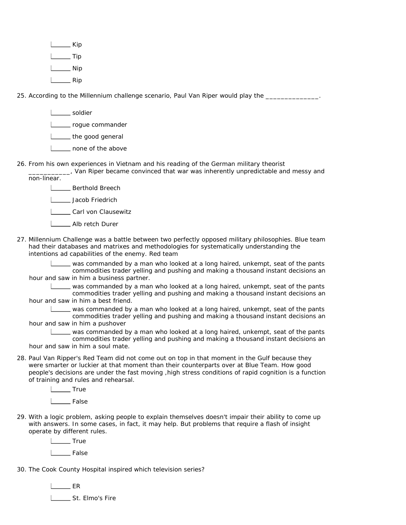| Kip |
|-----|
| Tip |
| Nip |
| Rip |

25. According to the Millennium challenge scenario, Paul Van Riper would play the \_\_\_\_\_\_\_\_\_\_\_\_\_\_\_.

L**L**soldier **Letter** roque commander **L** the good general **L** none of the above

26. From his own experiences in Vietnam and his reading of the German military theorist

\_\_\_\_\_\_\_\_\_\_\_, Van Riper became convinced that war was inherently unpredictable and messy and non-linear.



**Letter** Jacob Friedrich

Carl von Clausewitz

Alb retch Durer

27. Millennium Challenge was a battle between two perfectly opposed military philosophies. Blue team had their databases and matrixes and methodologies for systematically understanding the intentions ad capabilities of the enemy. Red team

was commanded by a man who looked at a long haired, unkempt, seat of the pants commodities trader yelling and pushing and making a thousand instant decisions an hour and saw in him a business partner.

was commanded by a man who looked at a long haired, unkempt, seat of the pants commodities trader yelling and pushing and making a thousand instant decisions an hour and saw in him a best friend.

was commanded by a man who looked at a long haired, unkempt, seat of the pants commodities trader yelling and pushing and making a thousand instant decisions an hour and saw in him a pushover

was commanded by a man who looked at a long haired, unkempt, seat of the pants commodities trader yelling and pushing and making a thousand instant decisions an hour and saw in him a soul mate.

28. Paul Van Ripper's Red Team did not come out on top in that moment in the Gulf because they were smarter or luckier at that moment than their counterparts over at Blue Team. How good people's decisions are under the fast moving ,high stress conditions of rapid cognition is a function of training and rules and rehearsal.

L<sub>tu</sub> True

L<sub>False</sub>

29. With a logic problem, asking people to explain themselves doesn't impair their ability to come up with answers. In some cases, in fact, it may help. But problems that require a flash of insight operate by different rules.

L<sub>tu</sub>True

L<sub>otal</sub> False

30. The Cook County Hospital inspired which television series?

 $L$  ER **LEGGGLER** St. Elmo's Fire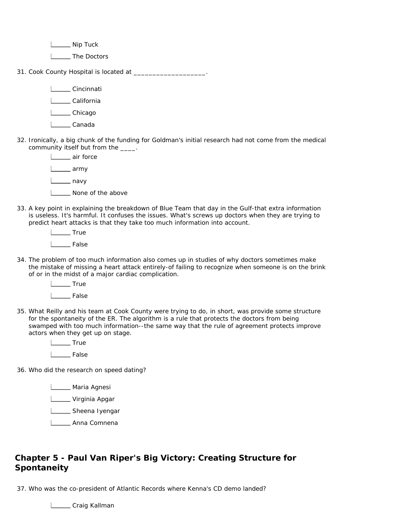L\_\_\_\_\_\_ Nip Tuck

I \_\_ The Doctors

31. Cook County Hospital is located at \_\_\_\_\_\_\_\_\_\_\_\_\_\_\_\_\_\_\_\_\_.

L**Cincinnati** 

L**California** 

L**Chicago** 

- L\_\_\_\_\_\_Canada
- 32. Ironically, a big chunk of the funding for Goldman's initial research had not come from the medical community itself but from the \_\_\_\_.



33. A key point in explaining the breakdown of Blue Team that day in the Gulf-that extra information is useless. It's harmful. It confuses the issues. What's screws up doctors when they are trying to predict heart attacks is that they take too much information into account.

> L<sub>L</sub>True L<sub>False</sub>

34. The problem of too much information also comes up in studies of why doctors sometimes make the mistake of missing a heart attack entirely-of failing to recognize when someone is on the brink of or in the midst of a major cardiac complication.

L<sub>tu</sub> True

L\_\_\_\_\_\_\_ False

- 35. What Reilly and his team at Cook County were trying to do, in short, was provide some structure for the spontaneity of the ER. The algorithm is a rule that protects the doctors from being swamped with too much information--the same way that the rule of agreement protects improve actors when they get up on stage.
	- L<sub>tu</sub> True I<sub>\_\_</sub>\_\_\_\_ False

36. Who did the research on speed dating?

**L**\_\_\_\_\_\_ Maria Agnesi

L**L** Virginia Apgar

**L** Sheena Iyengar

L**L**Anna Comnena

## **Chapter 5 - Paul Van Riper's Big Victory: Creating Structure for Spontaneity**

37. Who was the co-president of Atlantic Records where Kenna's CD demo landed?

**Letter** Craig Kallman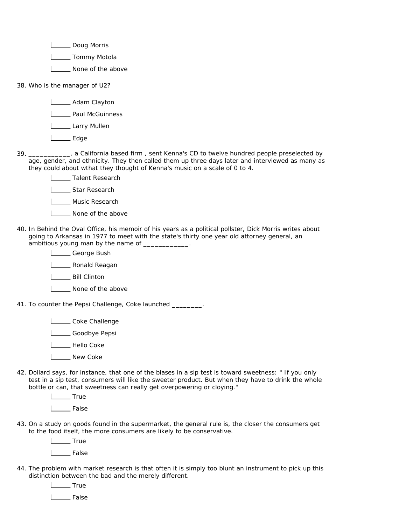L**L** Doug Morris

L**L** Tommy Motola

**L\_\_\_** None of the above

38. Who is the manager of U2?

**L**\_\_\_\_\_\_ Adam Clayton

**Lackson** Paul McGuinness

L\_\_\_\_\_\_ Larry Mullen

L<sub>ett</sub> Edge

39. \_\_\_\_\_\_\_\_\_\_\_, a California based firm , sent Kenna's CD to twelve hundred people preselected by age, gender, and ethnicity. They then called them up three days later and interviewed as many as they could about wthat they thought of Kenna's music on a scale of 0 to 4.

> **LETAL** Talent Research I \_\_\_\_ Star Research

L Music Research

I \_\_\_\_\_ None of the above

40. In Behind the Oval Office, his memoir of his years as a political pollster, Dick Morris writes about going to Arkansas in 1977 to meet with the state's thirty one year old attorney general, an ambitious young man by the name of \_\_\_\_\_

> Looman George Bush **LETT** Ronald Reagan **L\_\_\_\_\_** Bill Clinton **None of the above**

41. To counter the Pepsi Challenge, Coke launched \_\_\_\_\_\_\_\_.

Looke Challenge

L**eta** Goodbye Pepsi

**L\_\_\_\_** Hello Coke

**Listing** New Coke

42. Dollard says, for instance, that one of the biases in a sip test is toward sweetness: " If you only test in a sip test, consumers will like the sweeter product. But when they have to drink the whole bottle or can, that sweetness can really get overpowering or cloying."

> L<sub>tu</sub> True L<sub>b</sub>False

43. On a study on goods found in the supermarket, the general rule is, the closer the consumers get to the food itself, the more consumers are likely to be conservative.

**Lette** True

| False

44. The problem with market research is that often it is simply too blunt an instrument to pick up this distinction between the bad and the merely different.

L<sub>tu</sub> True

| \_\_ False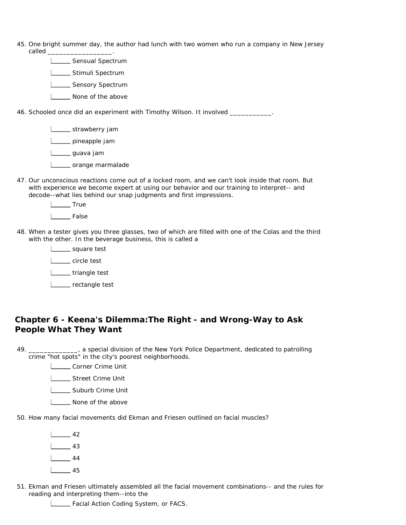- 45. One bright summer day, the author had lunch with two women who run a company in New Jersey called \_\_\_\_\_\_\_\_\_\_\_\_\_\_\_\_\_.
	- **LECCC** Sensual Spectrum
	- **L\_\_\_\_\_** Stimuli Spectrum
	- **LECT** Sensory Spectrum
	- **L\_\_\_ None of the above**

46. Schooled once did an experiment with Timothy Wilson. It involved \_\_\_\_\_\_\_\_\_\_\_.

**Loopey** strawberry jam

pineapple jam

L\_\_\_\_\_ guava jam

- | crange marmalade
- 47. Our unconscious reactions come out of a locked room, and we can't look inside that room. But with experience we become expert at using our behavior and our training to interpret-- and decode--what lies behind our snap judgments and first impressions.

L<sub>te</sub> True

L<sub>False</sub>

48. When a tester gives you three glasses, two of which are filled with one of the Colas and the third with the other. In the beverage business, this is called a

> square test L<sub>circle</sub> test L\_\_\_\_\_ triangle test L\_\_\_\_ rectangle test

#### **Chapter 6 - Keena's Dilemma:The Right - and Wrong-Way to Ask People What They Want**

49. **\_\_\_\_\_\_**, a special division of the New York Police Department, dedicated to patrolling crime "hot spots" in the city's poorest neighborhoods.

**Louise** Corner Crime Unit

Street Crime Unit

L\_\_\_\_\_\_ Suburb Crime Unit

**L\_\_\_ None of the above** 

50. How many facial movements did Ekman and Friesen outlined on facial muscles?

| and the            | 42 |
|--------------------|----|
|                    | 43 |
| $\mathbb{Z}^{n+1}$ | 44 |
|                    | 45 |

51. Ekman and Friesen ultimately assembled all the facial movement combinations-- and the rules for reading and interpreting them--into the

Facial Action Coding System, or FACS.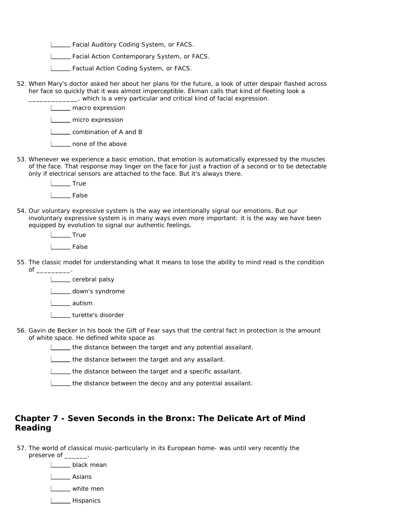**LETT** Facial Auditory Coding System, or FACS.

Facial Action Contemporary System, or FACS.

- Factual Action Coding System, or FACS.
- 52. When Mary's doctor asked her about her plans for the future, a look of utter despair flashed across her face so quickly that it was almost imperceptible. Ekman calls that kind of fleeting look a
	- \_\_\_\_\_\_\_\_\_\_\_\_\_, which is a very particular and critical kind of facial expression.

**L\_\_\_\_** macro expression

**LECT** micro expression

combination of A and B

| \_\_ none of the above

53. Whenever we experience a basic emotion, that emotion is automatically expressed by the muscles of the face. That response may linger on the face for just a fraction of a second or to be detectable only if electrical sensors are attached to the face. But it's always there.

> L<sub>tu</sub> True l False

54. Our voluntary expressive system is the way we intentionally signal our emotions. But our involuntary expressive system is in many ways even more important: it is the way we have been equipped by evolution to signal our authentic feelings.

L<sub>tu</sub> True

| False

55. The classic model for understanding what it means to lose the ability to mind read is the condition of  $\_\_$ 

**L** cerebral palsy L\_\_\_\_\_ down's syndrome L\_\_\_\_\_ autism I \_ turette's disorder

56. Gavin de Becker in his book the Gift of Fear says that the central fact in protection is the amount of white space. He defined white space as

the distance between the target and any potential assailant.

the distance between the target and any assailant.

**LETT** the distance between the target and a specific assailant.

the distance between the decoy and any potential assailant.

### **Chapter 7 - Seven Seconds in the Bronx: The Delicate Art of Mind Reading**

57. The world of classical music-particularly in its European home- was until very recently the

preserve of \_\_\_\_\_\_\_.

**L\_\_\_\_\_** black mean I\_\_\_\_\_ Asians

white men

I\_\_\_\_ Hispanics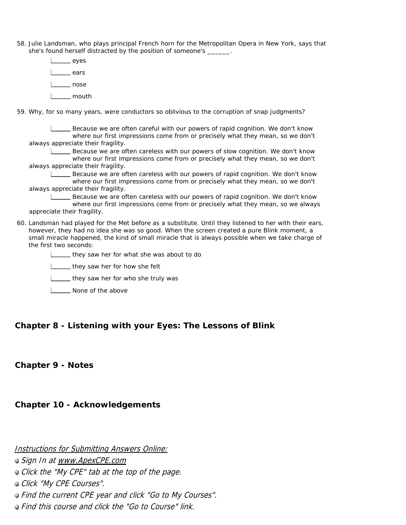58. Julie Landsman, who plays principal French horn for the Metropolitan Opera in New York, says that she's found herself distracted by the position of someone's \_\_\_\_\_\_.

| eyes  |
|-------|
| ears  |
| nose  |
| mouth |

59. Why, for so many years, were conductors so oblivious to the corruption of snap judgments?

Because we are often careful with our powers of rapid cognition. We don't know where our first impressions come from or precisely what they mean, so we don't always appreciate their fragility.

Because we are often careless with our powers of slow cognition. We don't know where our first impressions come from or precisely what they mean, so we don't always appreciate their fragility.

Because we are often careless with our powers of rapid cognition. We don't know where our first impressions come from or precisely what they mean, so we don't always appreciate their fragility.

Because we are often careless with our powers of rapid cognition. We don't know where our first impressions come from or precisely what they mean, so we always appreciate their fragility.

60. Landsman had played for the Met before as a substitute. Until they listened to her with their ears, however, they had no idea she was so good. When the screen created a pure Blink moment, a small miracle happened, the kind of small miracle that is always possible when we take charge of the first two seconds:

they saw her for what she was about to do

**L** they saw her for how she felt

**L** they saw her for who she truly was

**None of the above** 

#### **Chapter 8 - Listening with your Eyes: The Lessons of Blink**

#### **Chapter 9 - Notes**

**Chapter 10 - Acknowledgements** 

Instructions for Submitting Answers Online:

Sign In at www.ApexCPE.com

**Click the "My CPE" tab at the top of the page.** 

Click "My CPE Courses".

Find the current CPE year and click "Go to My Courses".

Find this course and click the "Go to Course" link.